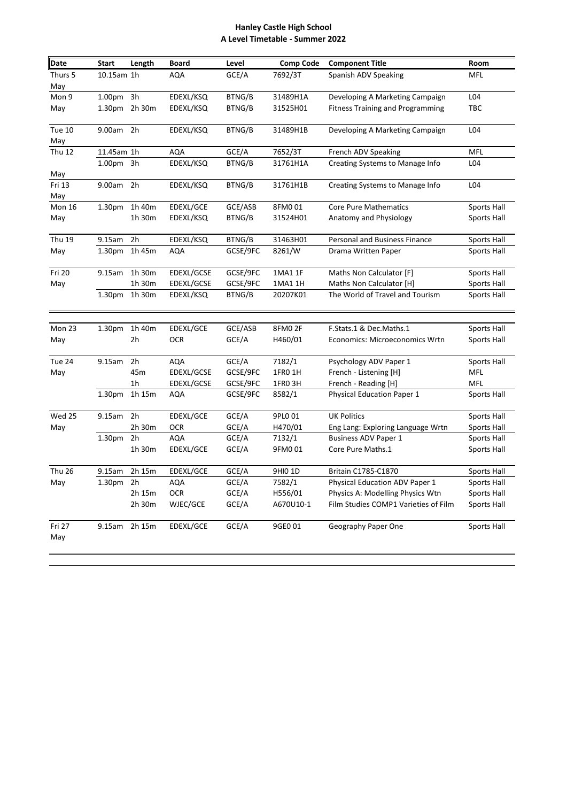## **Hanley Castle High School A Level Timetable - Summer 2022**

| Date          | Start              | Length | <b>Board</b> | Level    | <b>Comp Code</b> | <b>Component Title</b>                  | Room        |
|---------------|--------------------|--------|--------------|----------|------------------|-----------------------------------------|-------------|
| Thurs 5       | 10.15am 1h         |        | AQA          | GCE/A    | 7692/3T          | Spanish ADV Speaking                    | <b>MFL</b>  |
| May           |                    |        |              |          |                  |                                         |             |
| Mon 9         | 1.00pm 3h          |        | EDEXL/KSQ    | BTNG/B   | 31489H1A         | Developing A Marketing Campaign         | L04         |
| May           | 1.30pm 2h 30m      |        | EDEXL/KSQ    | BTNG/B   | 31525H01         | <b>Fitness Training and Programming</b> | <b>TBC</b>  |
| Tue 10<br>May | 9.00am             | 2h     | EDEXL/KSQ    | BTNG/B   | 31489H1B         | Developing A Marketing Campaign         | L04         |
| <b>Thu 12</b> | 11.45am 1h         |        | <b>AQA</b>   | GCE/A    | 7652/3T          | French ADV Speaking                     | MFL         |
| May           | 1.00 <sub>pm</sub> | 3h     | EDEXL/KSQ    | BTNG/B   | 31761H1A         | Creating Systems to Manage Info         | L04         |
| Fri 13<br>May | 9.00am             | 2h     | EDEXL/KSQ    | BTNG/B   | 31761H1B         | Creating Systems to Manage Info         | L04         |
| <b>Mon 16</b> | 1.30 <sub>pm</sub> | 1h 40m | EDEXL/GCE    | GCE/ASB  | 8FM001           | <b>Core Pure Mathematics</b>            | Sports Hall |
| May           |                    | 1h 30m | EDEXL/KSQ    | BTNG/B   | 31524H01         | Anatomy and Physiology                  | Sports Hall |
| <b>Thu 19</b> | 9.15am             | 2h     | EDEXL/KSQ    | BTNG/B   | 31463H01         | Personal and Business Finance           | Sports Hall |
| May           | 1.30 <sub>pm</sub> | 1h 45m | AQA          | GCSE/9FC | 8261/W           | Drama Written Paper                     | Sports Hall |
| Fri 20        | 9.15am             | 1h 30m | EDEXL/GCSE   | GCSE/9FC | 1MA1 1F          | Maths Non Calculator [F]                | Sports Hall |
| May           |                    | 1h 30m | EDEXL/GCSE   | GCSE/9FC | 1MA1 1H          | Maths Non Calculator [H]                | Sports Hall |
|               | 1.30pm 1h 30m      |        | EDEXL/KSQ    | BTNG/B   | 20207K01         | The World of Travel and Tourism         | Sports Hall |
| Mon 23        | 1.30 <sub>pm</sub> | 1h 40m | EDEXL/GCE    | GCE/ASB  | 8FM02F           | F.Stats.1 & Dec.Maths.1                 | Sports Hall |
| May           |                    | 2h     | <b>OCR</b>   | GCE/A    | H460/01          | Economics: Microeconomics Wrtn          | Sports Hall |
| Tue 24        | 9.15am             | 2h     | <b>AQA</b>   | GCE/A    | 7182/1           | Psychology ADV Paper 1                  | Sports Hall |
| May           |                    | 45m    | EDEXL/GCSE   | GCSE/9FC | 1FRO 1H          | French - Listening [H]                  | MFL         |
|               |                    | 1h     | EDEXL/GCSE   | GCSE/9FC | 1FRO 3H          | French - Reading [H]                    | MFL         |
|               | 1.30pm 1h 15m      |        | AQA          | GCSE/9FC | 8582/1           | <b>Physical Education Paper 1</b>       | Sports Hall |
| Wed 25        | 9.15am             | 2h     | EDEXL/GCE    | GCE/A    | 9PL0 01          | <b>UK Politics</b>                      | Sports Hall |
| May           |                    | 2h 30m | OCR          | GCE/A    | H470/01          | Eng Lang: Exploring Language Wrtn       | Sports Hall |
|               | 1.30pm             | 2h     | <b>AQA</b>   | GCE/A    | 7132/1           | <b>Business ADV Paper 1</b>             | Sports Hall |
|               |                    | 1h 30m | EDEXL/GCE    | GCE/A    | 9FM001           | Core Pure Maths.1                       | Sports Hall |
| <b>Thu 26</b> | 9.15am             | 2h 15m | EDEXL/GCE    | GCE/A    | 9HI0 1D          | Britain C1785-C1870                     | Sports Hall |
| May           | 1.30pm 2h          |        | AQA          | GCE/A    | 7582/1           | Physical Education ADV Paper 1          | Sports Hall |
|               |                    | 2h 15m | <b>OCR</b>   | GCE/A    | H556/01          | Physics A: Modelling Physics Wtn        | Sports Hall |
|               |                    | 2h 30m | WJEC/GCE     | GCE/A    | A670U10-1        | Film Studies COMP1 Varieties of Film    | Sports Hall |
| Fri 27<br>May | 9.15am 2h 15m      |        | EDEXL/GCE    | GCE/A    | 9GE0 01          | Geography Paper One                     | Sports Hall |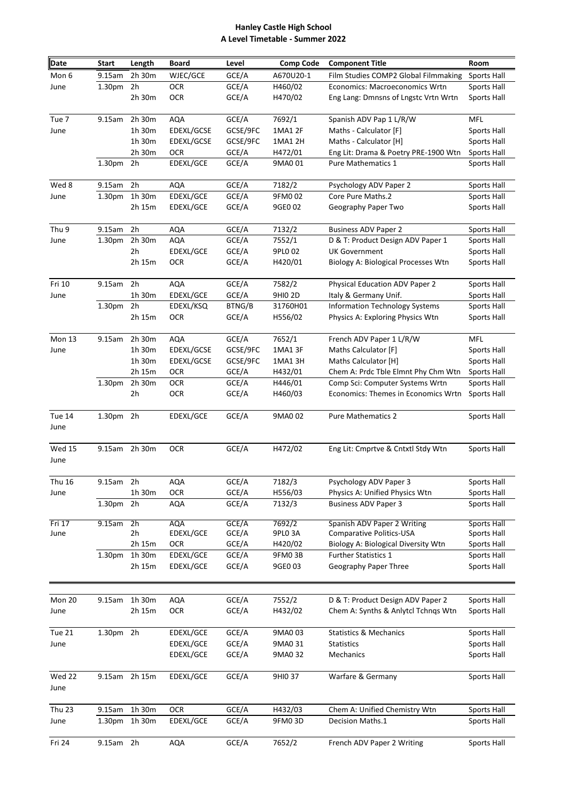## **Hanley Castle High School A Level Timetable - Summer 2022**

| <b>Date</b>           | <b>Start</b>       | Length         | <b>Board</b> | Level    | <b>Comp Code</b> | <b>Component Title</b>                | Room               |
|-----------------------|--------------------|----------------|--------------|----------|------------------|---------------------------------------|--------------------|
| Mon 6                 | 9.15am             | 2h 30m         | WJEC/GCE     | GCE/A    | A670U20-1        | Film Studies COMP2 Global Filmmaking  | <b>Sports Hall</b> |
| June                  | 1.30pm             | 2h             | <b>OCR</b>   | GCE/A    | H460/02          | Economics: Macroeconomics Wrtn        | Sports Hall        |
|                       |                    | 2h 30m         | <b>OCR</b>   | GCE/A    | H470/02          | Eng Lang: Dmnsns of Lngstc Vrtn Wrtn  | Sports Hall        |
| Tue 7                 | 9.15am             | 2h 30m         | AQA          | GCE/A    | 7692/1           | Spanish ADV Pap 1 L/R/W               | MFL                |
| June                  |                    | 1h 30m         | EDEXL/GCSE   | GCSE/9FC | 1MA1 2F          | Maths - Calculator [F]                | Sports Hall        |
|                       |                    | 1h 30m         | EDEXL/GCSE   | GCSE/9FC | 1MA1 2H          | Maths - Calculator [H]                | Sports Hall        |
|                       |                    | 2h 30m         | OCR          | GCE/A    | H472/01          | Eng Lit: Drama & Poetry PRE-1900 Wtn  | Sports Hall        |
|                       | 1.30 <sub>pm</sub> | 2h             | EDEXL/GCE    | GCE/A    | 9MA0 01          | Pure Mathematics 1                    | Sports Hall        |
| Wed 8                 | 9.15am             | 2h             | <b>AQA</b>   | GCE/A    | 7182/2           | Psychology ADV Paper 2                | Sports Hall        |
| June                  | 1.30pm             | 1h 30m         | EDEXL/GCE    | GCE/A    | 9FM002           | Core Pure Maths.2                     | Sports Hall        |
|                       |                    | 2h 15m         | EDEXL/GCE    | GCE/A    | 9GE0 02          | Geography Paper Two                   | Sports Hall        |
| Thu <sub>9</sub>      | 9.15am             | 2h             | <b>AQA</b>   | GCE/A    | 7132/2           | <b>Business ADV Paper 2</b>           | Sports Hall        |
| June                  | 1.30pm             | 2h 30m         | <b>AQA</b>   | GCE/A    | 7552/1           | D & T: Product Design ADV Paper 1     | Sports Hall        |
|                       |                    | 2h             | EDEXL/GCE    | GCE/A    | 9PL0 02          | <b>UK Government</b>                  | Sports Hall        |
|                       |                    | 2h 15m         | <b>OCR</b>   | GCE/A    | H420/01          | Biology A: Biological Processes Wtn   | Sports Hall        |
| Fri 10                | 9.15am             | 2 <sub>h</sub> | <b>AQA</b>   | GCE/A    | 7582/2           | <b>Physical Education ADV Paper 2</b> | Sports Hall        |
| June                  |                    | 1h 30m         | EDEXL/GCE    | GCE/A    | 9HI0 2D          | Italy & Germany Unif.                 | Sports Hall        |
|                       | 1.30pm             | 2h             | EDEXL/KSQ    | BTNG/B   | 31760H01         | <b>Information Technology Systems</b> | Sports Hall        |
|                       |                    | 2h 15m         | <b>OCR</b>   | GCE/A    | H556/02          | Physics A: Exploring Physics Wtn      | Sports Hall        |
| Mon 13                | 9.15am             | 2h 30m         | <b>AQA</b>   | GCE/A    | 7652/1           | French ADV Paper 1 L/R/W              | MFL                |
| June                  |                    | 1h 30m         | EDEXL/GCSE   | GCSE/9FC | 1MA1 3F          | Maths Calculator [F]                  | Sports Hall        |
|                       |                    | 1h 30m         | EDEXL/GCSE   | GCSE/9FC | 1MA1 3H          | Maths Calculator [H]                  | Sports Hall        |
|                       |                    | 2h 15m         | OCR          | GCE/A    | H432/01          | Chem A: Prdc Tble Elmnt Phy Chm Wtn   | <b>Sports Hall</b> |
|                       | 1.30pm             | 2h 30m         | <b>OCR</b>   | GCE/A    | H446/01          | Comp Sci: Computer Systems Wrtn       | Sports Hall        |
|                       |                    | 2h             | <b>OCR</b>   | GCE/A    | H460/03          | Economics: Themes in Economics Wrtn   | Sports Hall        |
| Tue 14<br>June        | 1.30pm 2h          |                | EDEXL/GCE    | GCE/A    | 9MA0 02          | <b>Pure Mathematics 2</b>             | Sports Hall        |
| <b>Wed 15</b><br>June |                    | 9.15am 2h 30m  | <b>OCR</b>   | GCE/A    | H472/02          | Eng Lit: Cmprtve & Cntxtl Stdy Wtn    | Sports Hall        |
| <b>Thu 16</b>         | 9.15am             | 2 <sub>h</sub> | AQA          | GCE/A    | 7182/3           | Psychology ADV Paper 3                | Sports Hall        |
| June                  |                    | 1h 30m         | OCR          | GCE/A    | H556/03          | Physics A: Unified Physics Wtn        | Sports Hall        |
|                       | 1.30pm             | 2h             | AQA          | GCE/A    | 7132/3           | <b>Business ADV Paper 3</b>           | Sports Hall        |
| Fri 17<br>June        | 9.15am             | 2h             | AQA          | GCE/A    | 7692/2           | Spanish ADV Paper 2 Writing           | <b>Sports Hall</b> |
|                       |                    | 2h             | EDEXL/GCE    | GCE/A    | 9PLO 3A          | Comparative Politics-USA              | Sports Hall        |
|                       |                    | 2h 15m         | <b>OCR</b>   | GCE/A    | H420/02          | Biology A: Biological Diversity Wtn   | Sports Hall        |
|                       | 1.30pm             | 1h 30m         | EDEXL/GCE    | GCE/A    | 9FM03B           | <b>Further Statistics 1</b>           | Sports Hall        |
|                       |                    | 2h 15m         | EDEXL/GCE    | GCE/A    | 9GE0 03          | Geography Paper Three                 | Sports Hall        |
|                       |                    |                |              |          |                  |                                       |                    |
| Mon 20                | 9.15am             | 1h 30m         | AQA          | GCE/A    | 7552/2           | D & T: Product Design ADV Paper 2     | Sports Hall        |
| June                  |                    | 2h 15m         | <b>OCR</b>   | GCE/A    | H432/02          | Chem A: Synths & Anlytcl Tchngs Wtn   | Sports Hall        |
| Tue 21                | 1.30pm 2h          |                | EDEXL/GCE    | GCE/A    | 9MA0 03          | <b>Statistics &amp; Mechanics</b>     | Sports Hall        |
| June                  |                    |                | EDEXL/GCE    | GCE/A    | 9MA0 31          | <b>Statistics</b>                     | Sports Hall        |
|                       |                    |                | EDEXL/GCE    | GCE/A    | 9MA0 32          | Mechanics                             | Sports Hall        |
| Wed 22<br>June        |                    | 9.15am 2h 15m  | EDEXL/GCE    | GCE/A    | 9HI0 37          | Warfare & Germany                     | Sports Hall        |
| <b>Thu 23</b>         | 9.15am             | 1h 30m         | <b>OCR</b>   | GCE/A    | H432/03          | Chem A: Unified Chemistry Wtn         | Sports Hall        |
| June                  | 1.30 <sub>pm</sub> | 1h 30m         | EDEXL/GCE    | GCE/A    | 9FM03D           | Decision Maths.1                      | Sports Hall        |
| Fri 24                | 9.15am 2h          |                | <b>AQA</b>   | GCE/A    | 7652/2           | French ADV Paper 2 Writing            | Sports Hall        |